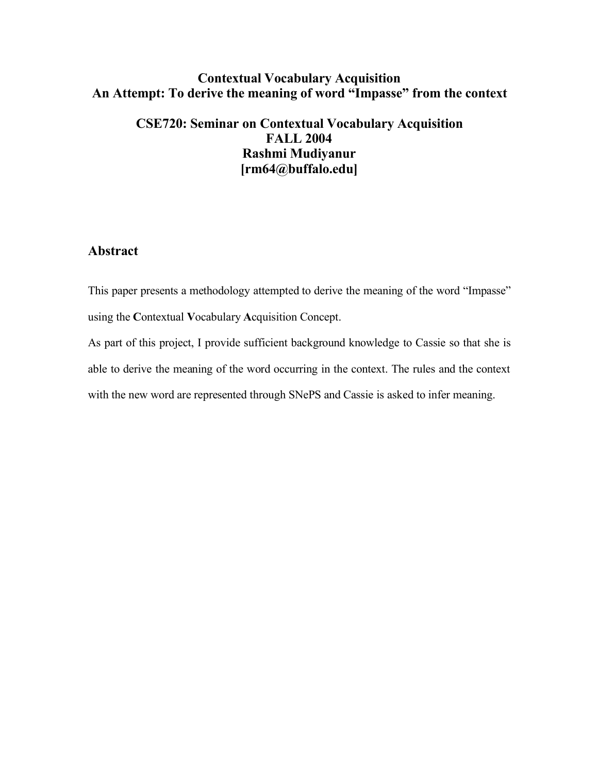## **Contextual Vocabulary Acquisition An Attempt: To derive the meaning of word "Impasse" from the context**

## **CSE720: Seminar on Contextual Vocabulary Acquisition FALL 2004 Rashmi Mudiyanur [rm64@buffalo.edu]**

## **Abstract**

This paper presents a methodology attempted to derive the meaning of the word "Impasse" using the **C**ontextual **V**ocabulary **A**cquisition Concept.

As part of this project, I provide sufficient background knowledge to Cassie so that she is able to derive the meaning of the word occurring in the context. The rules and the context with the new word are represented through SNePS and Cassie is asked to infer meaning.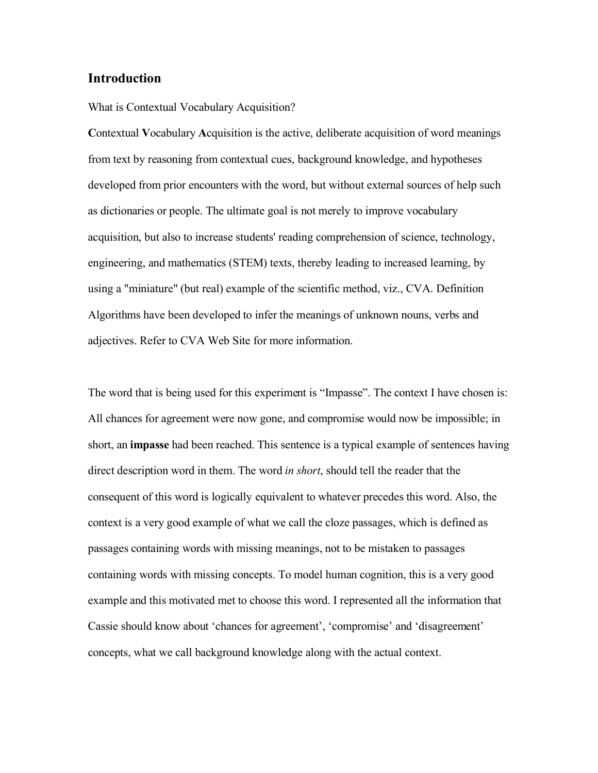#### **Introduction**

What is Contextual Vocabulary Acquisition?

**C**ontextual **V**ocabulary **A**cquisition is the active, deliberate acquisition of word meanings from text by reasoning from contextual cues, background knowledge, and hypotheses developed from prior encounters with the word, but without external sources of help such as dictionaries or people. The ultimate goal is not merely to improve vocabulary acquisition, but also to increase students' reading comprehension of science, technology, engineering, and mathematics (STEM) texts, thereby leading to increased learning, by using a "miniature" (but real) example of the scientific method, viz., CVA. Definition Algorithms have been developed to infer the meanings of unknown nouns, verbs and adjectives. Refer to CVA Web Site for more information.

The word that is being used for this experiment is "Impasse". The context I have chosen is: All chances for agreement were now gone, and compromise would now be impossible; in short, an **impasse** had been reached. This sentence is a typical example of sentences having direct description word in them. The word *in short*, should tell the reader that the consequent of this word is logically equivalent to whatever precedes this word. Also, the context is a very good example of what we call the cloze passages, which is defined as passages containing words with missing meanings, not to be mistaken to passages containing words with missing concepts. To model human cognition, this is a very good example and this motivated met to choose this word. I represented all the information that Cassie should know about 'chances for agreement', 'compromise' and 'disagreement' concepts, what we call background knowledge along with the actual context.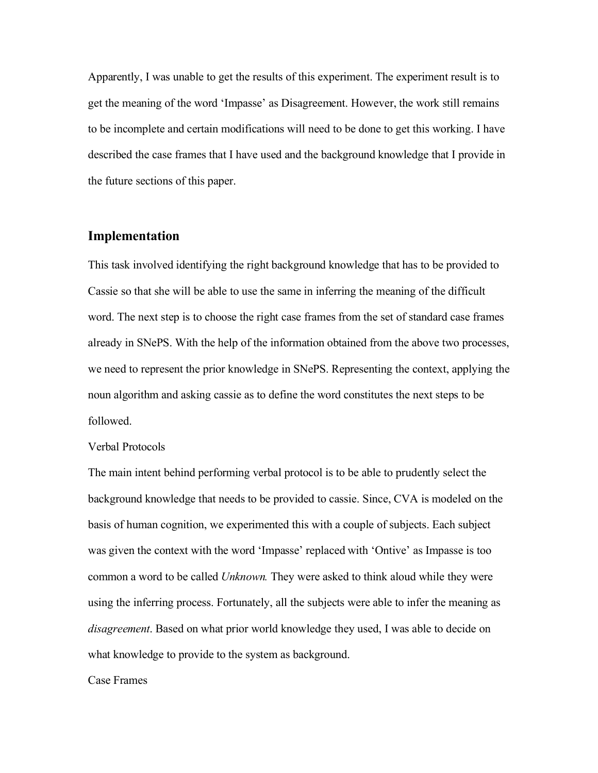Apparently, I was unable to get the results of this experiment. The experiment result is to get the meaning of the word 'Impasse' as Disagreement. However, the work still remains to be incomplete and certain modifications will need to be done to get this working. I have described the case frames that I have used and the background knowledge that I provide in the future sections of this paper.

#### **Implementation**

This task involved identifying the right background knowledge that has to be provided to Cassie so that she will be able to use the same in inferring the meaning of the difficult word. The next step is to choose the right case frames from the set of standard case frames already in SNePS. With the help of the information obtained from the above two processes, we need to represent the prior knowledge in SNePS. Representing the context, applying the noun algorithm and asking cassie as to define the word constitutes the next steps to be followed.

#### Verbal Protocols

The main intent behind performing verbal protocol is to be able to prudently select the background knowledge that needs to be provided to cassie. Since, CVA is modeled on the basis of human cognition, we experimented this with a couple of subjects. Each subject was given the context with the word 'Impasse' replaced with 'Ontive' as Impasse is too common a word to be called *Unknown.* They were asked to think aloud while they were using the inferring process. Fortunately, all the subjects were able to infer the meaning as *disagreement*. Based on what prior world knowledge they used, I was able to decide on what knowledge to provide to the system as background.

#### Case Frames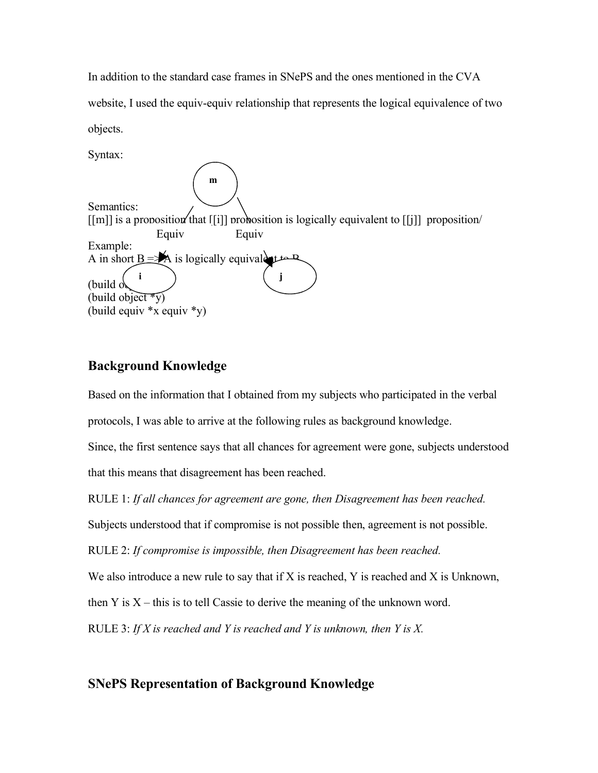In addition to the standard case frames in SNePS and the ones mentioned in the CVA website, I used the equiv-equiv relationship that represents the logical equivalence of two objects.

Syntax: Semantics:  $[[m]]$  is a proposition that  $[[i]]$  proposition is logically equivalent to  $[[i]]$  proposition Example: A in short  $B \equiv A$  is logically equivalent to B (build  $\phi$ (build object  $\sqrt[x]{y}$ ) (build equiv \*x equiv \*y) Equiv Equiv **i j m**

## **Background Knowledge**

Based on the information that I obtained from my subjects who participated in the verbal protocols, I was able to arrive at the following rules as background knowledge.

Since, the first sentence says that all chances for agreement were gone, subjects understood that this means that disagreement has been reached.

RULE 1: *If all chances for agreement are gone, then Disagreement has been reached.*

Subjects understood that if compromise is not possible then, agreement is not possible.

RULE 2: *If compromise is impossible, then Disagreement has been reached.*

We also introduce a new rule to say that if X is reached, Y is reached and X is Unknown,

then Y is  $X$  – this is to tell Cassie to derive the meaning of the unknown word.

RULE 3: *If X is reached and Y is reached and Y is unknown, then Y is X.*

## **SNePS Representation of Background Knowledge**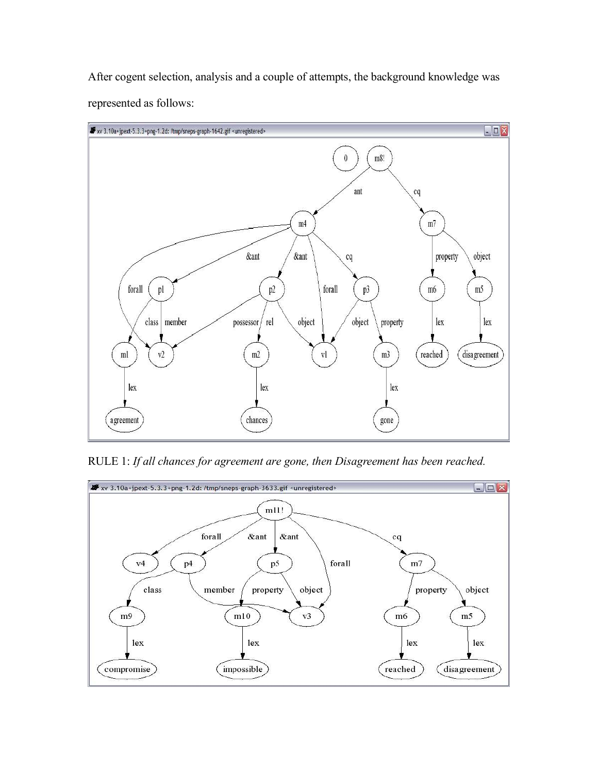After cogent selection, analysis and a couple of attempts, the background knowledge was represented as follows:



RULE 1: *If all chances for agreement are gone, then Disagreement has been reached.*

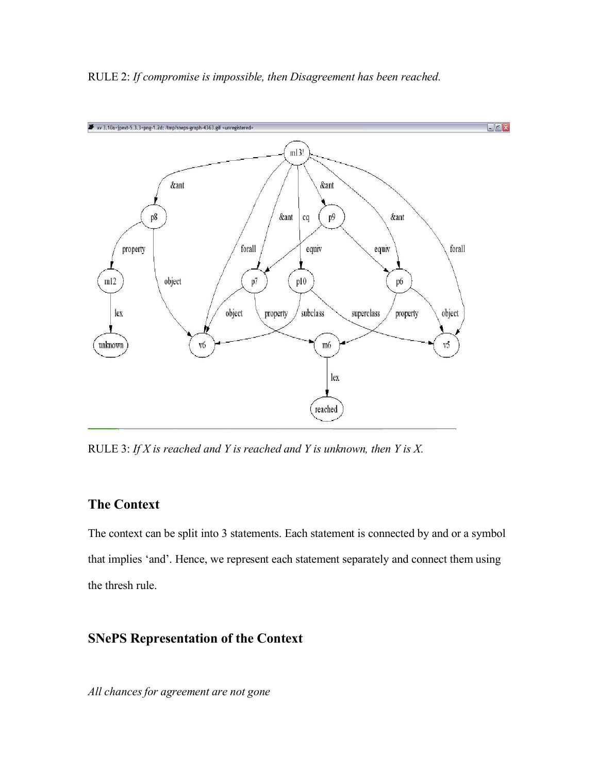#### RULE 2: *If compromise is impossible, then Disagreement has been reached.*



RULE 3: *If X is reached and Y is reached and Y is unknown, then Y is X.*

### **The Context**

The context can be split into 3 statements. Each statement is connected by and or a symbol that implies 'and'. Hence, we represent each statement separately and connect them using the thresh rule.

## **SNePS Representation of the Context**

*All chances for agreement are not gone*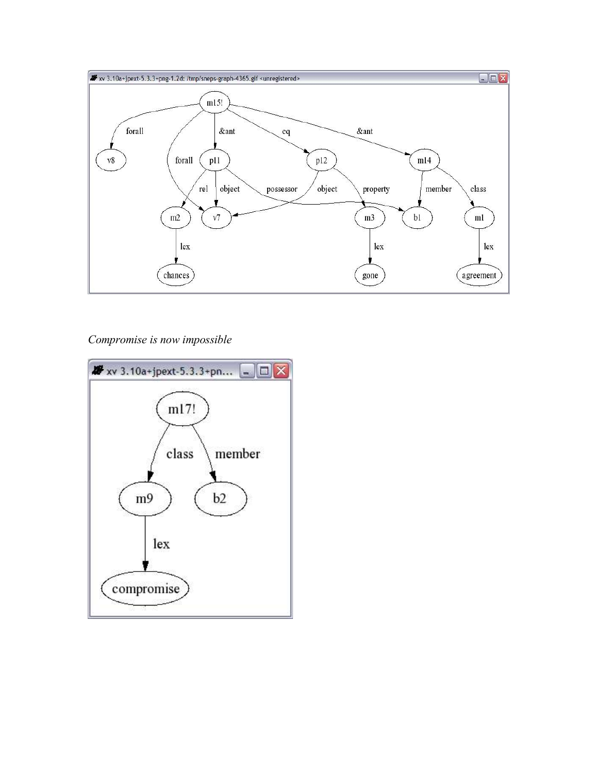

*Compromise is now impossible*

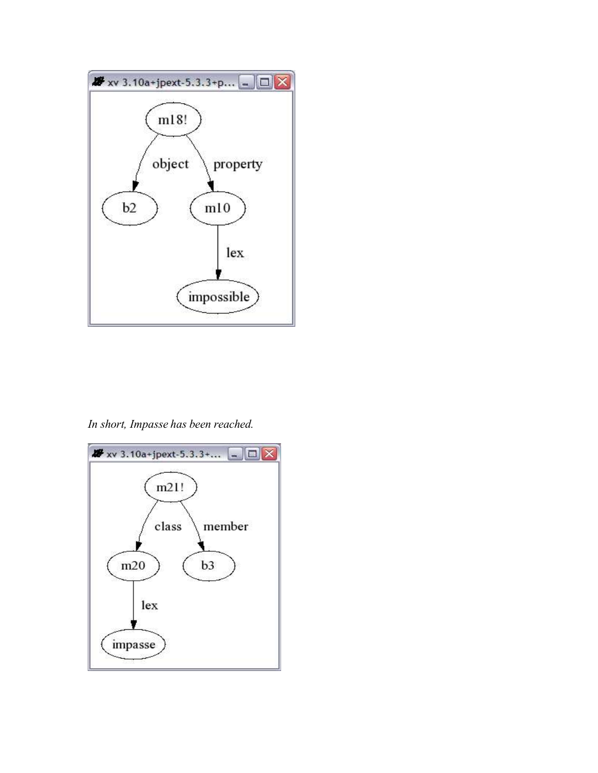

*In short, Impasse has been reached.*

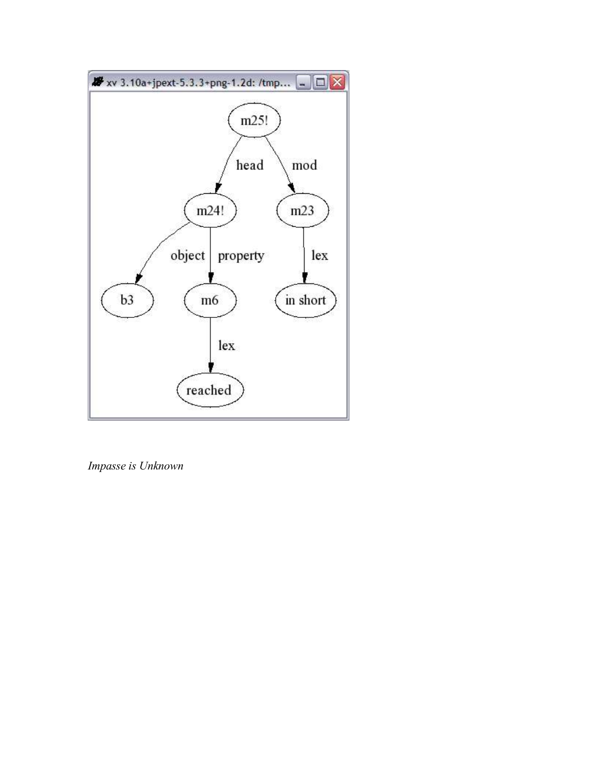

*Impasse is Unknown*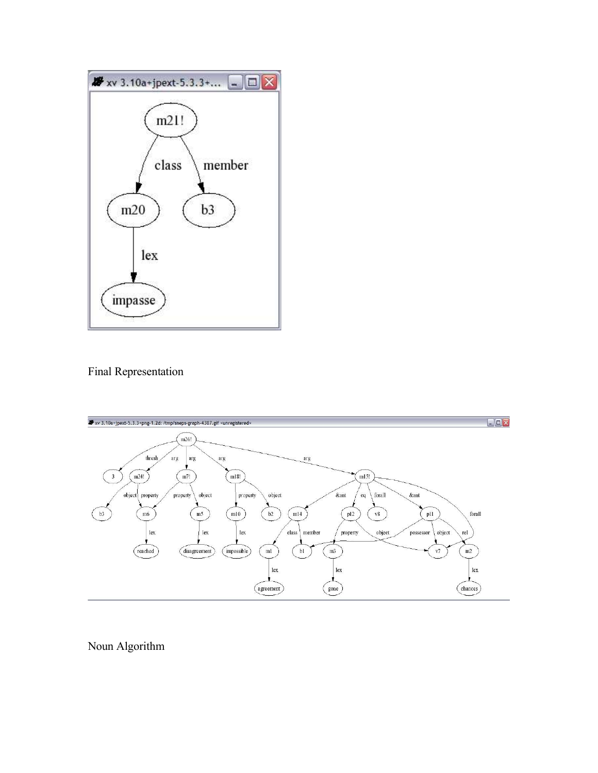

Final Representation



Noun Algorithm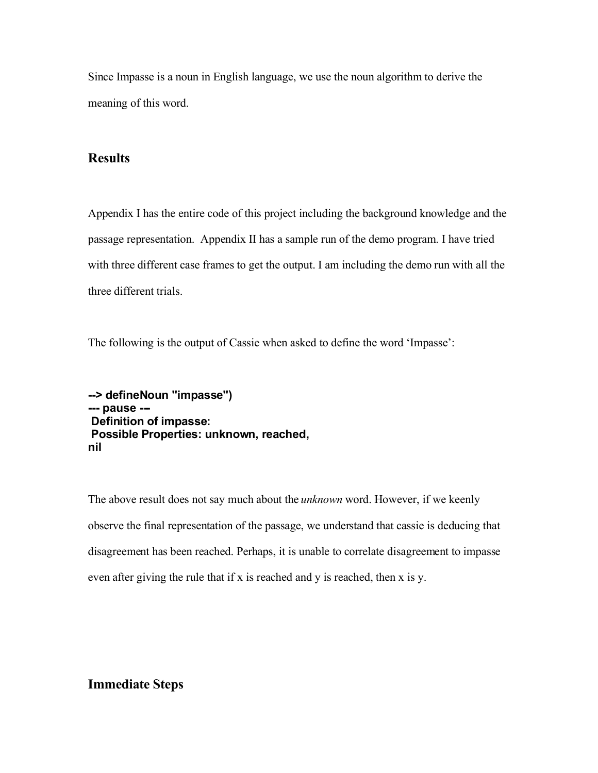Since Impasse is a noun in English language, we use the noun algorithm to derive the meaning of this word.

## **Results**

Appendix I has the entire code of this project including the background knowledge and the passage representation. Appendix II has a sample run of the demo program. I have tried with three different case frames to get the output. I am including the demo run with all the three different trials.

The following is the output of Cassie when asked to define the word 'Impasse':

**--> defineNoun "impasse") --- pause --- Definition of impasse: Possible Properties: unknown, reached, nil**

The above result does not say much about the *unknown* word. However, if we keenly observe the final representation of the passage, we understand that cassie is deducing that disagreement has been reached. Perhaps, it is unable to correlate disagreement to impasse even after giving the rule that if x is reached and y is reached, then x is y.

## **Immediate Steps**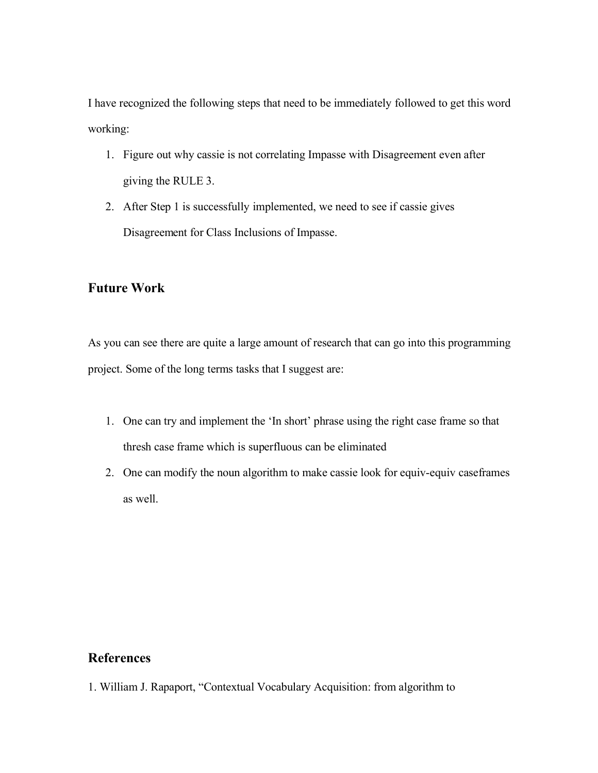I have recognized the following steps that need to be immediately followed to get this word working:

- 1. Figure out why cassie is not correlating Impasse with Disagreement even after giving the RULE 3.
- 2. After Step 1 is successfully implemented, we need to see if cassie gives Disagreement for Class Inclusions of Impasse.

## **Future Work**

As you can see there are quite a large amount of research that can go into this programming project. Some of the long terms tasks that I suggest are:

- 1. One can try and implement the 'In short' phrase using the right case frame so that thresh case frame which is superfluous can be eliminated
- 2. One can modify the noun algorithm to make cassie look for equiv-equiv caseframes as well.

## **References**

1. William J. Rapaport, "Contextual Vocabulary Acquisition: from algorithm to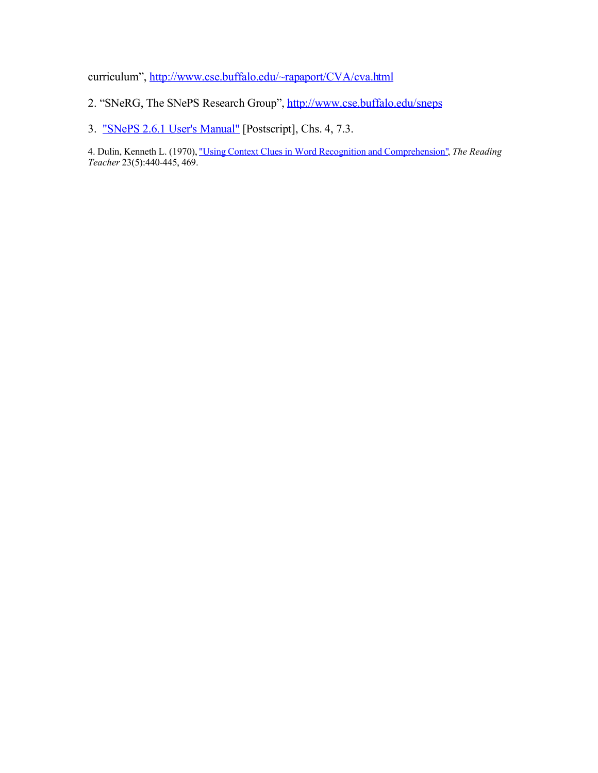curriculum", http://www.cse.buffalo.edu/~rapaport/CVA/cva.html

- 2. "SNeRG, The SNePS Research Group", http://www.cse.buffalo.edu/sneps
- 3. "SNePS 2.6.1 User's Manual" [Postscript], Chs. 4, 7.3.

4. Dulin, Kenneth L. (1970), "Using Context Clues in Word Recognition and Comprehension", *The Reading Teacher* 23(5):440-445, 469.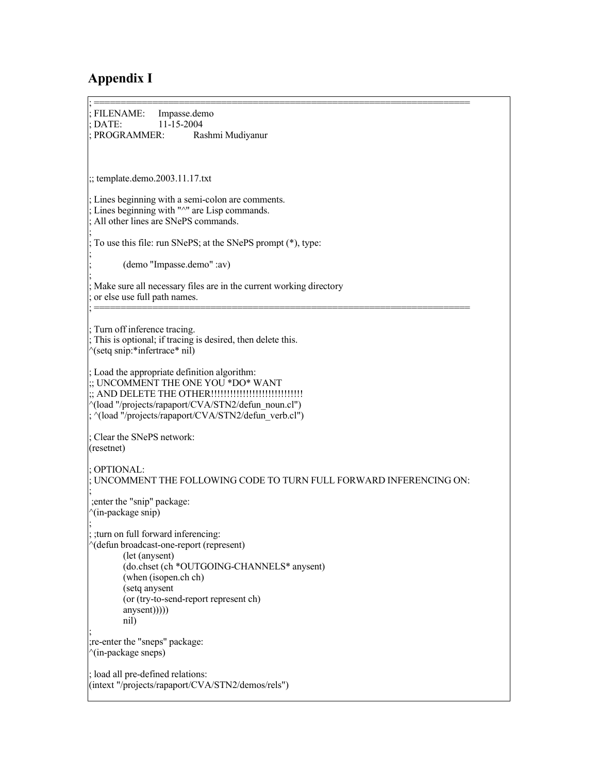# **Appendix I**

| ; FILENAME:<br>Impasse.demo<br>$;$ DATE:<br>11-15-2004                                                                                                                                                                                                        |
|---------------------------------------------------------------------------------------------------------------------------------------------------------------------------------------------------------------------------------------------------------------|
| ; PROGRAMMER:<br>Rashmi Mudiyanur                                                                                                                                                                                                                             |
|                                                                                                                                                                                                                                                               |
| $\ldots$ template.demo.2003.11.17.txt                                                                                                                                                                                                                         |
| ; Lines beginning with a semi-colon are comments.<br>; Lines beginning with "^" are Lisp commands.<br>: All other lines are SNePS commands.                                                                                                                   |
| ; To use this file: run SNePS; at the SNePS prompt (*), type:                                                                                                                                                                                                 |
| (demo "Impasse.demo" :av)                                                                                                                                                                                                                                     |
| ; Make sure all necessary files are in the current working directory<br>; or else use full path names.                                                                                                                                                        |
| ; Turn off inference tracing.<br>; This is optional; if tracing is desired, then delete this.<br>$\gamma$ (setq snip:*infertrace* nil)                                                                                                                        |
| ; Load the appropriate definition algorithm:<br>:; UNCOMMENT THE ONE YOU *DO* WANT<br>:; AND DELETE THE OTHER!!!!!!!!!!!!!!!!!!!!!!!!!!!!!!!!<br>"(load "/projects/rapaport/CVA/STN2/defun noun.cl")<br>; ^(load "/projects/rapaport/CVA/STN2/defun verb.cl") |
| ; Clear the SNePS network:<br>(resetnet)                                                                                                                                                                                                                      |
| : OPTIONAL:<br>: UNCOMMENT THE FOLLOWING CODE TO TURN FULL FORWARD INFERENCING ON:<br>; enter the "snip" package:<br>$\gamma$ (in-package snip)                                                                                                               |
| ; turn on full forward inferencing:<br>^(defun broadcast-one-report (represent)<br>(let (anysent)<br>(do.chset (ch *OUTGOING-CHANNELS* anysent)<br>(when (isopen.ch ch)<br>(setq anysent<br>(or (try-to-send-report represent ch)<br>anysent)))))<br>nil)     |
| ; re-enter the "sneps" package:<br>^(in-package sneps)                                                                                                                                                                                                        |
| ; load all pre-defined relations:<br>(intext "/projects/rapaport/CVA/STN2/demos/rels")                                                                                                                                                                        |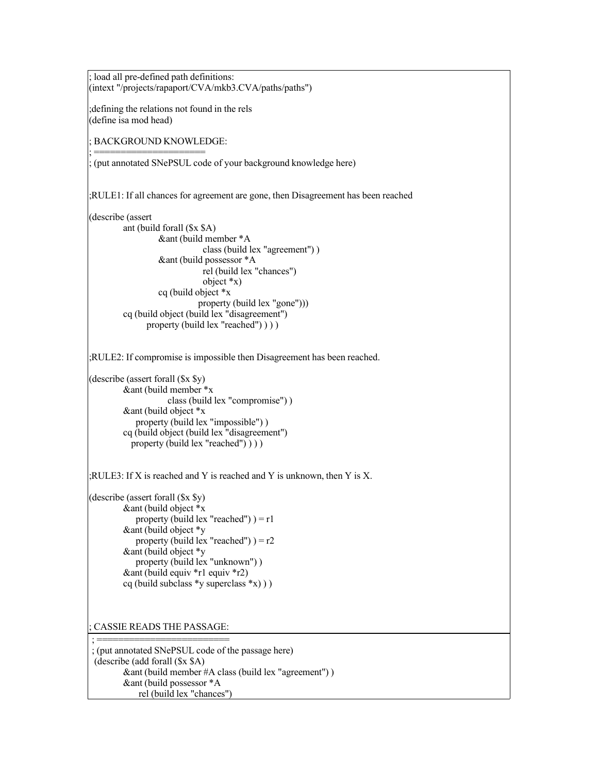; load all pre-defined path definitions: (intext "/projects/rapaport/CVA/mkb3.CVA/paths/paths") ;defining the relations not found in the rels (define isa mod head) ; BACKGROUND KNOWLEDGE: ; ===================== ; (put annotated SNePSUL code of your background knowledge here) ;RULE1: If all chances for agreement are gone, then Disagreement has been reached (describe (assert ant (build forall (\$x \$A) &ant (build member \*A class (build lex "agreement") ) &ant (build possessor \*A rel (build lex "chances") object \*x) cq (build object \*x property (build lex "gone"))) cq (build object (build lex "disagreement") property (build lex "reached") ) ) ) ;RULE2: If compromise is impossible then Disagreement has been reached. (describe (assert forall (\$x \$y) &ant (build member \*x class (build lex "compromise") ) &ant (build object \*x property (build lex "impossible") ) cq (build object (build lex "disagreement") property (build lex "reached") ) ) ) ;RULE3: If X is reached and Y is reached and Y is unknown, then Y is X. (describe (assert forall (\$x \$y) &ant (build object \*x property (build lex "reached")  $) = r1$ &ant (build object \*y property (build lex "reached")  $= r2$ &ant (build object \*y property (build lex "unknown") ) &ant (build equiv \*r1 equiv \*r2) cq (build subclass \*y superclass \*x) ) ) ; CASSIE READS THE PASSAGE: ; ========================= ; (put annotated SNePSUL code of the passage here) (describe (add forall (\$x \$A)

&ant (build member #A class (build lex "agreement") ) &ant (build possessor \*A rel (build lex "chances")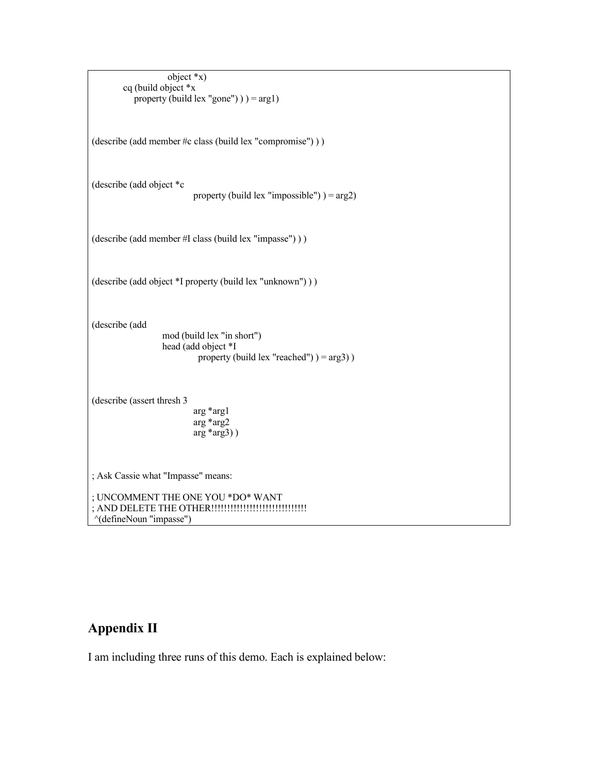| object $*_{x}$ )                                                                                                   |
|--------------------------------------------------------------------------------------------------------------------|
| cq (build object *x<br>property (build lex "gone") $) = arg1$                                                      |
| (describe (add member #c class (build lex "compromise")))                                                          |
| (describe (add object *c                                                                                           |
| property (build lex "impossible") $) = arg2$ )                                                                     |
| (describe (add member #I class (build lex "impasse")))                                                             |
| (describe (add object *I property (build lex "unknown")))                                                          |
| (describe (add<br>mod (build lex "in short")<br>head (add object *I<br>property (build lex "reached") $) = arg3$ ) |
| (describe (assert thresh 3)<br>$arg*arg1$<br>$arg*arg2$<br>$arg*arg3)$ )                                           |
| ; Ask Cassie what "Impasse" means:                                                                                 |
| ; UNCOMMENT THE ONE YOU *DO* WANT<br>"(defineNoun "impasse")                                                       |

# **Appendix II**

I am including three runs of this demo. Each is explained below: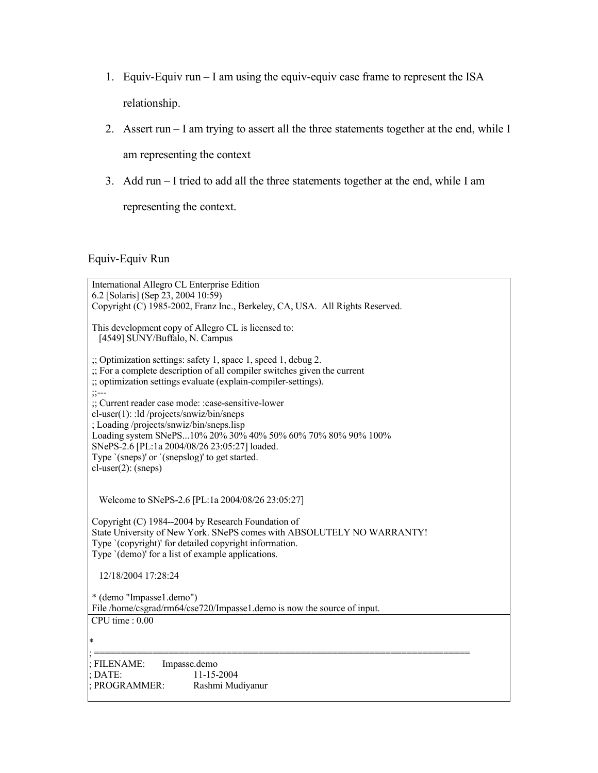- 1. Equiv-Equiv run I am using the equiv-equiv case frame to represent the ISA relationship.
- 2. Assert run I am trying to assert all the three statements together at the end, while I

am representing the context

3. Add run – I tried to add all the three statements together at the end, while I am

representing the context.

### Equiv-Equiv Run

| International Allegro CL Enterprise Edition<br>6.2 [Solaris] (Sep 23, 2004 10:59)<br>Copyright (C) 1985-2002, Franz Inc., Berkeley, CA, USA. All Rights Reserved.                                                                                         |
|-----------------------------------------------------------------------------------------------------------------------------------------------------------------------------------------------------------------------------------------------------------|
| This development copy of Allegro CL is licensed to:<br>[4549] SUNY/Buffalo, N. Campus                                                                                                                                                                     |
| :; Optimization settings: safety 1, space 1, speed 1, debug 2.<br>:; For a complete description of all compiler switches given the current<br>:; optimization settings evaluate (explain-compiler-settings).<br>$\frac{1}{2}$ $\frac{1}{2}$ $\frac{1}{2}$ |
| :: Current reader case mode: :case-sensitive-lower<br>cl-user(1): :ld/projects/snwiz/bin/sneps<br>; Loading /projects/snwiz/bin/sneps.lisp<br>Loading system SNePS10% 20% 30% 40% 50% 60% 70% 80% 90% 100%                                                |
| SNePS-2.6 [PL:1a 2004/08/26 23:05:27] loaded.<br>Type '(sneps)' or '(snepslog)' to get started.<br>$cl-user(2)$ : (sneps)                                                                                                                                 |
| Welcome to SNePS-2.6 [PL:1a 2004/08/26 23:05:27]                                                                                                                                                                                                          |
| Copyright (C) 1984--2004 by Research Foundation of<br>State University of New York. SNePS comes with ABSOLUTELY NO WARRANTY!<br>Type '(copyright)' for detailed copyright information.<br>Type '(demo)' for a list of example applications.               |
| 12/18/2004 17:28:24                                                                                                                                                                                                                                       |
| * (demo "Impasse1.demo")<br>File /home/csgrad/rm64/cse720/Impasse1.demo is now the source of input.<br>CPU time: 0.00                                                                                                                                     |
| $\ast$                                                                                                                                                                                                                                                    |
| Impasse.demo<br><b>FILENAME:</b><br>11-15-2004<br>DATE:<br>PROGRAMMER:<br>Rashmi Mudiyanur                                                                                                                                                                |
|                                                                                                                                                                                                                                                           |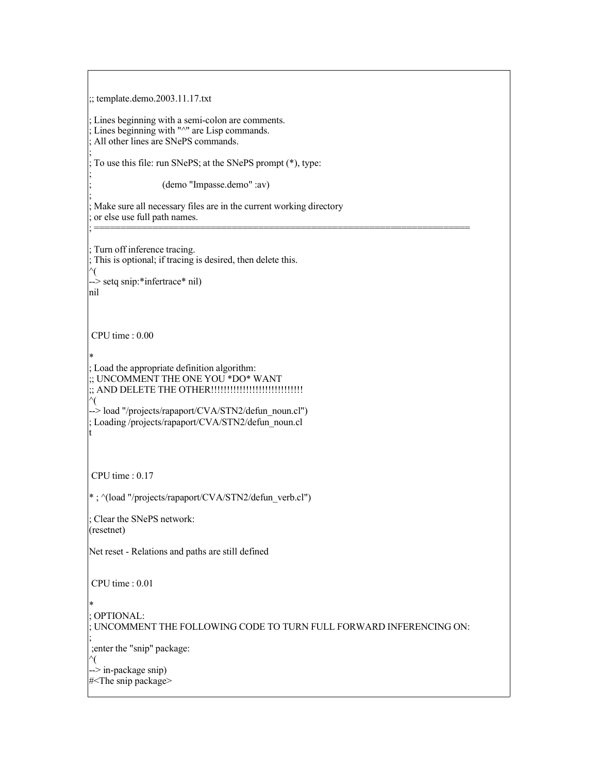;; template.demo.2003.11.17.txt

Lines beginning with a semi-colon are comments. Lines beginning with " $\wedge$ " are Lisp commands. All other lines are SNePS commands.

; To use this file: run SNePS; at the SNePS prompt (\*), type:

; (demo "Impasse.demo" :av)

Make sure all necessary files are in the current working directory or else use full path names.

; =======================================================================

Turn off inference tracing. ; This is optional; if tracing is desired, then delete this. ^( --> setq snip:\*infertrace\* nil) nil

CPU time : 0.00

;

;

;

\* ; Load the appropriate definition algorithm: ;; UNCOMMENT THE ONE YOU \*DO\* WANT ;; AND DELETE THE OTHER!!!!!!!!!!!!!!!!!!!!!!!!!!!!! ^( --> load "/projects/rapaport/CVA/STN2/defun\_noun.cl")

; Loading /projects/rapaport/CVA/STN2/defun\_noun.cl t

CPU time : 0.17

\* ; ^(load "/projects/rapaport/CVA/STN2/defun\_verb.cl")

: Clear the SNePS network: (resetnet)

Net reset - Relations and paths are still defined

CPU time : 0.01

\*

; OPTIONAL:

; UNCOMMENT THE FOLLOWING CODE TO TURN FULL FORWARD INFERENCING ON:

; ;enter the "snip" package: ^( --> in-package snip)

#<The snip package>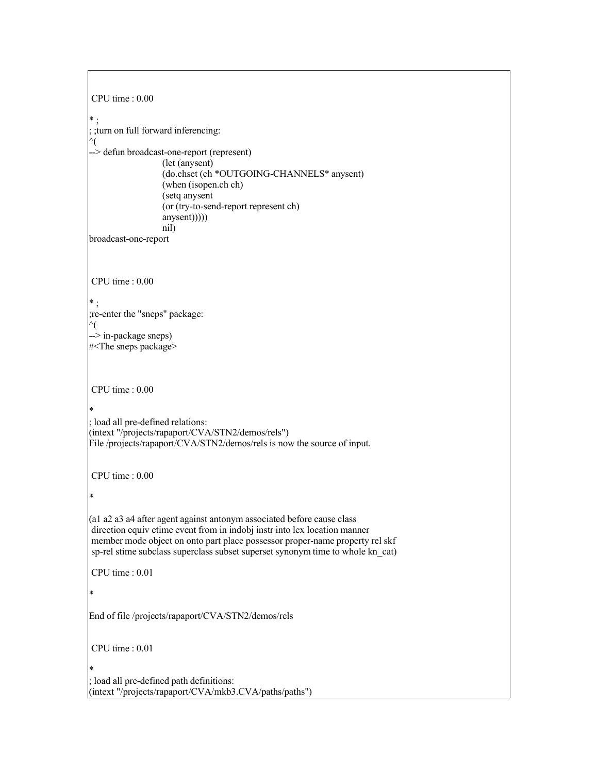```
CPU time : 0.00
* ;
; ;turn on full forward inferencing:
^(
--> defun broadcast-one-report (represent)
                  (let (anysent)
                  (do.chset (ch *OUTGOING-CHANNELS* anysent)
                  (when (isopen.ch ch)
                  (setq anysent
                  (or (try-to-send-report represent ch)
                  anysent)))))
                  nil)
broadcast-one-report
CPU time : 0.00
* ;
;re-enter the "sneps" package:
^(
--> in-package sneps)
#<The sneps package>
CPU time : 0.00
*
; load all pre-defined relations:
(intext "/projects/rapaport/CVA/STN2/demos/rels")
File /projects/rapaport/CVA/STN2/demos/rels is now the source of input.
CPU time : 0.00
*
(a1 a2 a3 a4 after agent against antonym associated before cause class
direction equiv etime event from in indobj instr into lex location manner
member mode object on onto part place possessor proper-name property rel skf
sp-rel stime subclass superclass subset superset synonym time to whole kn_cat)
CPU time : 0.01
*
End of file /projects/rapaport/CVA/STN2/demos/rels
CPU time : 0.01
*
; load all pre-defined path definitions:
(intext "/projects/rapaport/CVA/mkb3.CVA/paths/paths")
```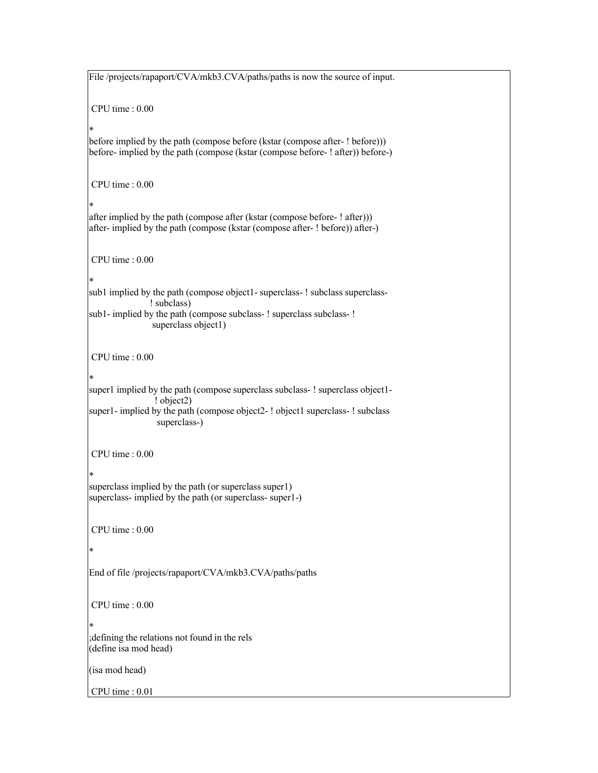File /projects/rapaport/CVA/mkb3.CVA/paths/paths is now the source of input. CPU time : 0.00 \* before implied by the path (compose before (kstar (compose after- ! before))) before- implied by the path (compose (kstar (compose before- ! after)) before-) CPU time : 0.00 \* after implied by the path (compose after (kstar (compose before- ! after))) after- implied by the path (compose (kstar (compose after- ! before)) after-) CPU time : 0.00 \* sub1 implied by the path (compose object1- superclass- ! subclass superclass-! subclass) sub1- implied by the path (compose subclass- ! superclass subclass- ! superclass object1) CPU time : 0.00 \* super1 implied by the path (compose superclass subclass-! superclass object1-! object2) super1- implied by the path (compose object2-! object1 superclass-! subclass superclass-) CPU time : 0.00 \* superclass implied by the path (or superclass super1) superclass- implied by the path (or superclass- super1-) CPU time : 0.00 \* End of file /projects/rapaport/CVA/mkb3.CVA/paths/paths CPU time : 0.00 \* ;defining the relations not found in the rels (define isa mod head) (isa mod head) CPU time : 0.01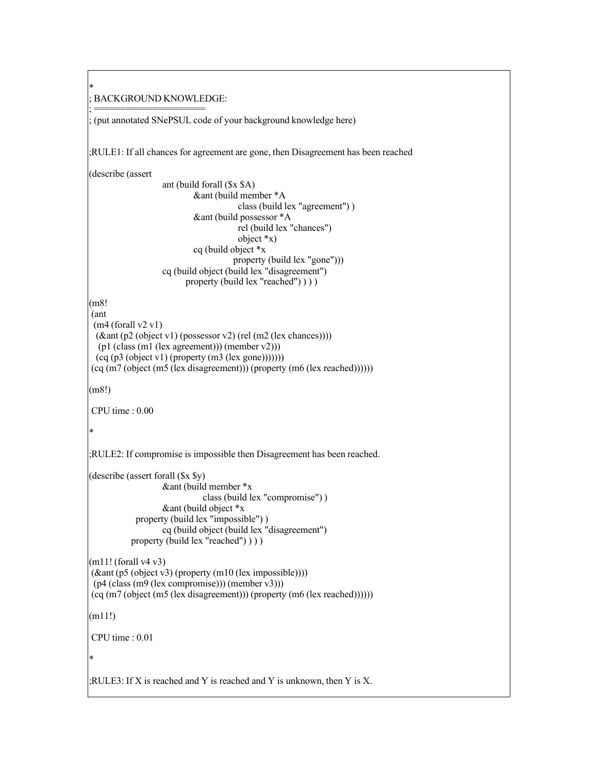\* ; BACKGROUND KNOWLEDGE:

; ===================== ; (put annotated SNePSUL code of your background knowledge here)

;RULE1: If all chances for agreement are gone, then Disagreement has been reached

(describe (assert

ant (build forall (\$x \$A) &ant (build member \*A class (build lex "agreement") ) &ant (build possessor \*A rel (build lex "chances") object \*x) cq (build object \*x property (build lex "gone"))) cq (build object (build lex "disagreement") property (build lex "reached")  $)$ )

(m8!

```
(ant
(m4 (for all v2 v1))(&ant (p2 (object v1) (possessor v2) (rel (m2 (lex chances))))
 (p1 (class (m1 (lex agreement))) (member v2)))
(cq (p3 (object v1) (property (m3 (lex gone))))))(cq (m7 (object (m5 (lex disagreement)))) (property (m6 (lex reached))))))
```
(m8!)

CPU time : 0.00

```
*
```
;RULE2: If compromise is impossible then Disagreement has been reached.

```
(describe (assert forall ($x $y)
                  &ant (build member *x
                             class (build lex "compromise") )
                  &ant (build object *x
            property (build lex "impossible") )
                  cq (build object (build lex "disagreement")
           property (build lex "reached") ) ) )
```

```
(m11! (for all v4 v3)(&ant (p5 (object v3) (property (m10 (lex impossible))))
(p4 (class (m9 (lex compromise))) (member v3)))
(cq (m7 (object (m5 (lex disagreement))) (property (m6 (lex reached))))))
```
(m11!)

CPU time : 0.01

\*

;RULE3: If X is reached and Y is reached and Y is unknown, then Y is X.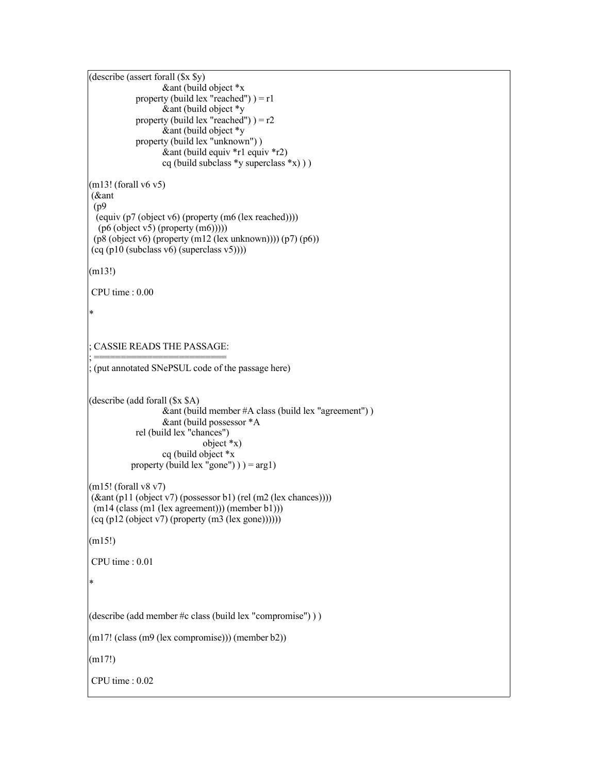(describe (assert forall (\$x \$y) &ant (build object \*x property (build lex "reached")  $=$  r1  $\&$  ant (build object  $*_y$ property (build lex "reached")  $= r2$ &ant (build object \*y property (build lex "unknown") )  $\&$  ant (build equiv \*r1 equiv \*r2) cq (build subclass  $\ast$ y superclass  $\ast$ x))) (m13! (forall v6 v5) (&ant (p9 (equiv (p7 (object v6) (property (m6 (lex reached)))) (p6 (object v5) (property (m6)))))  $(p8 (object v6) (property (m12 (lex unknown)))) (p7) (p6))$  $(cq (p10 (subclass v6) (superclass v5))))$ (m13!) CPU time : 0.00 \* ; CASSIE READS THE PASSAGE: ; ========================= ; (put annotated SNePSUL code of the passage here) (describe (add forall (\$x \$A) &ant (build member #A class (build lex "agreement") ) &ant (build possessor \*A rel (build lex "chances") object \*x) cq (build object \*x property (build lex "gone")  $)$  =  $arg1$ )  $(m15!)$  (forall v8 v7) (&ant (p11 (object v7) (possessor b1) (rel (m2 (lex chances)))) (m14 (class (m1 (lex agreement))) (member b1)))  $(cq (p12 (object v7) (property (m3 (lex gone))))))$ (m15!) CPU time : 0.01 \* (describe (add member #c class (build lex "compromise") ) )  $(m17!$  (class  $(m9$  (lex compromise))) (member b2)) (m17!) CPU time : 0.02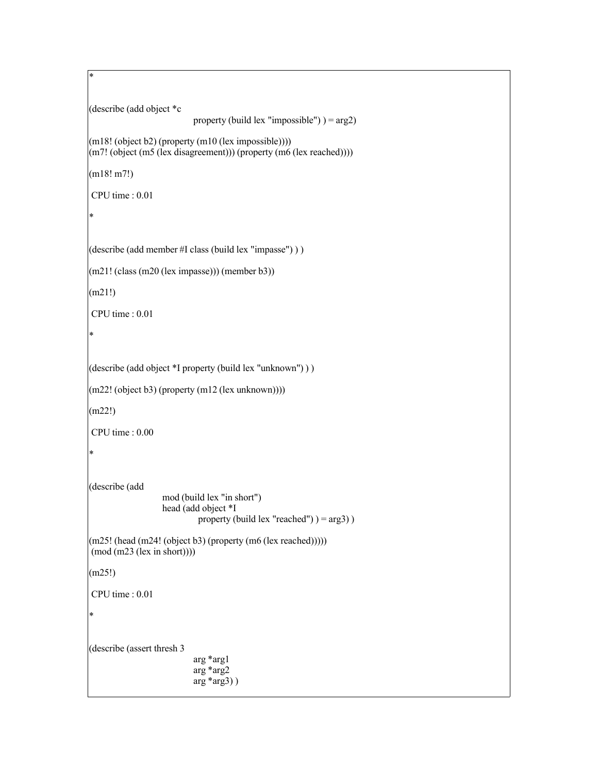(describe (add object \*c property (build lex "impossible")  $) = arg2$ ) (m18! (object b2) (property (m10 (lex impossible)))) (m7! (object (m5 (lex disagreement))) (property (m6 (lex reached)))) (m18! m7!) CPU time : 0.01 \* (describe (add member #I class (build lex "impasse") ) ) (m21! (class (m20 (lex impasse))) (member b3)) (m21!) CPU time : 0.01 \* (describe (add object \*I property (build lex "unknown") ) )  $(m22! (object b3) (property (m12 (lex unknown))))$ (m22!) CPU time : 0.00 \* (describe (add mod (build lex "in short") head (add object \*I property (build lex "reached")  $) = arg3$ )  $(m25! \text{ (head } (m24! \text{ (object } b3) \text{ (property } (m6 \text{ (lex reached)))))})$ (mod (m23 (lex in short)))) (m25!) CPU time : 0.01 \* (describe (assert thresh 3 arg \*arg1 arg \*arg2 arg \*arg3) )

\*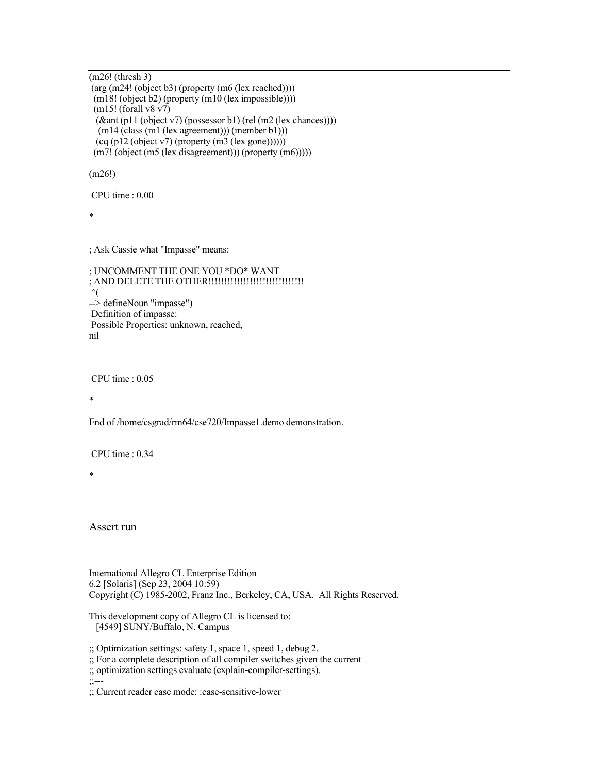(m26! (thresh 3)  $(\arg(m24! (object b3) (property (m6 (lex reached))))))$ (m18! (object b2) (property (m10 (lex impossible))))  $(m15! (for all v8 v7))$ (&ant (p11 (object v7) (possessor b1) (rel (m2 (lex chances))))  $(m14$  (class  $(m1$  (lex agreement))) (member b1)))  $(cq (p12 (object v7) (property (m3 (lex gone))))))$ (m7! (object (m5 (lex disagreement))) (property (m6))))) (m26!) CPU time : 0.00 \* ; Ask Cassie what "Impasse" means: ; UNCOMMENT THE ONE YOU \*DO\* WANT ; AND DELETE THE OTHER!!!!!!!!!!!!!!!!!!!!!!!!!!!!!!  $\gamma$ --> defineNoun "impasse") Definition of impasse: Possible Properties: unknown, reached, nil CPU time : 0.05 \* End of /home/csgrad/rm64/cse720/Impasse1.demo demonstration. CPU time : 0.34 \* Assert run International Allegro CL Enterprise Edition 6.2 [Solaris] (Sep 23, 2004 10:59) Copyright (C) 1985-2002, Franz Inc., Berkeley, CA, USA. All Rights Reserved. This development copy of Allegro CL is licensed to: [4549] SUNY/Buffalo, N. Campus ;; Optimization settings: safety 1, space 1, speed 1, debug 2. ;; For a complete description of all compiler switches given the current ;; optimization settings evaluate (explain-compiler-settings). ;;--- ;; Current reader case mode: :case-sensitive-lower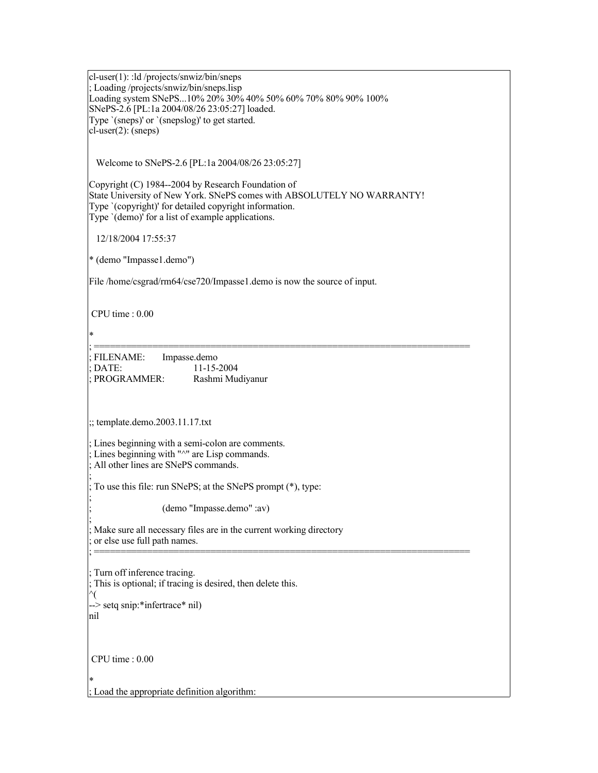cl-user(1): :ld /projects/snwiz/bin/sneps ; Loading /projects/snwiz/bin/sneps.lisp Loading system SNePS...10% 20% 30% 40% 50% 60% 70% 80% 90% 100% SNePS-2.6 [PL:1a 2004/08/26 23:05:27] loaded. Type `(sneps)' or `(snepslog)' to get started. cl-user(2): (sneps) Welcome to SNePS-2.6 [PL:1a 2004/08/26 23:05:27] Copyright (C) 1984--2004 by Research Foundation of State University of New York. SNePS comes with ABSOLUTELY NO WARRANTY! Type `(copyright)' for detailed copyright information. Type '(demo)' for a list of example applications. 12/18/2004 17:55:37 \* (demo "Impasse1.demo") File /home/csgrad/rm64/cse720/Impasse1.demo is now the source of input. CPU time : 0.00 \* ; ======================================================================= FILENAME: Impasse.demo ; DATE: 11-15-2004 PROGRAMMER: Rashmi Mudiyanur ;; template.demo.2003.11.17.txt Lines beginning with a semi-colon are comments. Lines beginning with "^" are Lisp commands. All other lines are SNePS commands. ; ; To use this file: run SNePS; at the SNePS prompt (\*), type: ; ; (demo "Impasse.demo" :av) ; Make sure all necessary files are in the current working directory ; or else use full path names. ; ======================================================================= Turn off inference tracing. This is optional; if tracing is desired, then delete this. ^( --> setq snip:\*infertrace\* nil) nil CPU time : 0.00 \* ; Load the appropriate definition algorithm: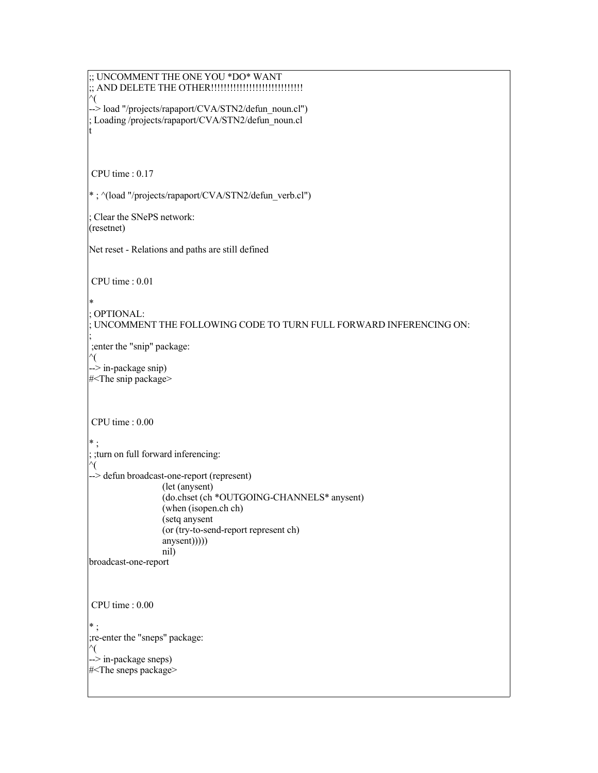```
;; UNCOMMENT THE ONE YOU *DO* WANT
;; AND DELETE THE OTHER!!!!!!!!!!!!!!!!!!!!!!!!!!!!!
^(
--> load "/projects/rapaport/CVA/STN2/defun_noun.cl")
; Loading /projects/rapaport/CVA/STN2/defun_noun.cl
t
CPU time : 0.17
* ; ^(load "/projects/rapaport/CVA/STN2/defun_verb.cl")
; Clear the SNePS network:
(resetnet)
Net reset - Relations and paths are still defined
CPU time : 0.01
*
; OPTIONAL:
 ; UNCOMMENT THE FOLLOWING CODE TO TURN FULL FORWARD INFERENCING ON:
;
;enter the "snip" package:
^(
--> in-package snip)
#<The snip package>
CPU time : 0.00
* ;
; ;turn on full forward inferencing:
^(
--> defun broadcast-one-report (represent)
                 (let (anysent)
                 (do.chset (ch *OUTGOING-CHANNELS* anysent)
                 (when (isopen.ch ch)
                 (setq anysent
                 (or (try-to-send-report represent ch)
                 anysent))()nil)
broadcast-one-report
CPU time : 0.00
* ;
;re-enter the "sneps" package:
^(
--> in-package sneps)
#<The sneps package>
```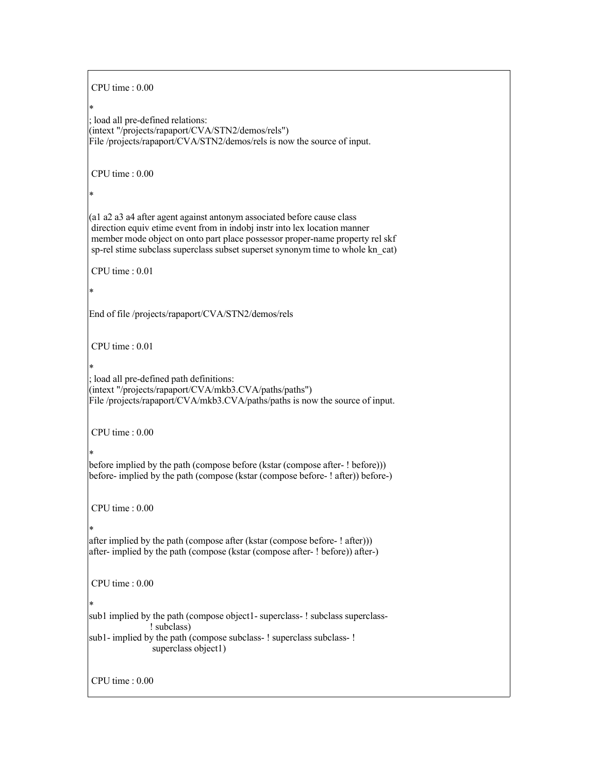CPU time : 0.00 \* ; load all pre-defined relations: (intext "/projects/rapaport/CVA/STN2/demos/rels") File /projects/rapaport/CVA/STN2/demos/rels is now the source of input. CPU time : 0.00 \* (a1 a2 a3 a4 after agent against antonym associated before cause class direction equiv etime event from in indobj instr into lex location manner member mode object on onto part place possessor proper-name property rel skf sp-rel stime subclass superclass subset superset synonym time to whole kn\_cat) CPU time : 0.01 \* End of file /projects/rapaport/CVA/STN2/demos/rels CPU time : 0.01 \* ; load all pre-defined path definitions: (intext "/projects/rapaport/CVA/mkb3.CVA/paths/paths") File /projects/rapaport/CVA/mkb3.CVA/paths/paths is now the source of input. CPU time : 0.00 \* before implied by the path (compose before (kstar (compose after- ! before))) before- implied by the path (compose (kstar (compose before- ! after)) before-) CPU time : 0.00 \* after implied by the path (compose after (kstar (compose before- ! after))) after- implied by the path (compose (kstar (compose after- ! before)) after-) CPU time : 0.00 \* sub1 implied by the path (compose object1- superclass- ! subclass superclass-! subclass) sub1- implied by the path (compose subclass- ! superclass subclass- ! superclass object1) CPU time : 0.00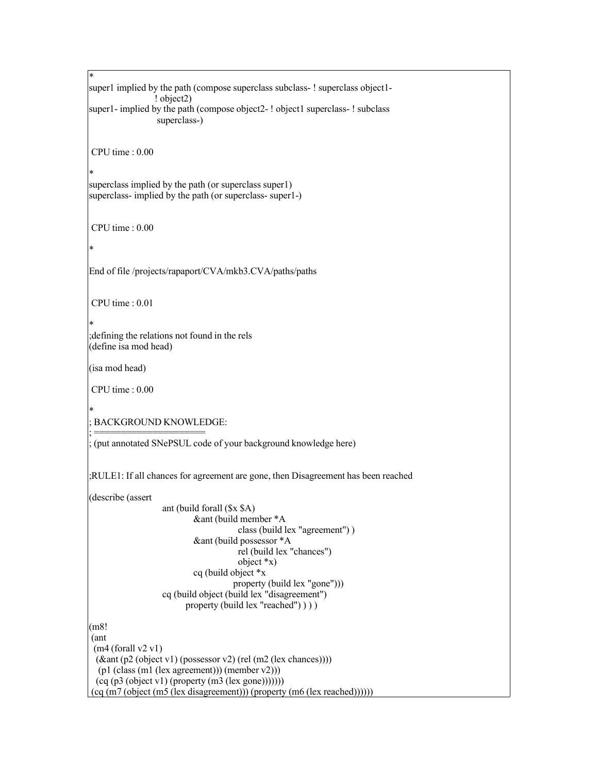```
*
super1 implied by the path (compose superclass subclass- ! superclass object1-
                ! object2)
super1- implied by the path (compose object2-! object1 superclass-! subclass
                 superclass-)
CPU time : 0.00
*
superclass implied by the path (or superclass super1)
superclass- implied by the path (or superclass- super1-)
CPU time : 0.00
*
End of file /projects/rapaport/CVA/mkb3.CVA/paths/paths
CPU time : 0.01
*
;defining the relations not found in the rels
(define isa mod head)
(isa mod head)
CPU time : 0.00
*
 ; BACKGROUND KNOWLEDGE:
; =====================
 ; (put annotated SNePSUL code of your background knowledge here)
;RULE1: If all chances for agreement are gone, then Disagreement has been reached
(describe (assert
                  ant (build forall ($x $A)
                          &ant (build member *A
                                      class (build lex "agreement") )
                          &ant (build possessor *A
                                      rel (build lex "chances")
                                      object *x)
                          cq (build object *x
                                    property (build lex "gone")))
                  cq (build object (build lex "disagreement")
                        property (build lex "reached") ) ) )
(m8!
(ant
 (m4 (for all v2 v1))(&ant (p2 (object v1) (possessor v2) (rel (m2 (lex chances))))
  (p1 (class (m1 (lex agreement))) (member v2)))
 (cq (p3 (object v1) (property (m3 (lex gone)))))))(cq (m7 (object (m5 (lex disagreement))) (property (m6 (lex reached))))))
```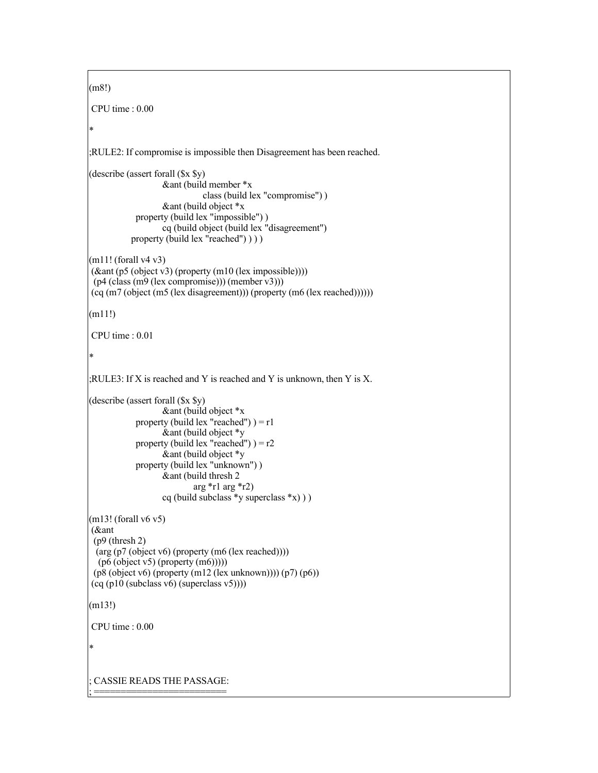```
(m8!)
CPU time : 0.00
*
;RULE2: If compromise is impossible then Disagreement has been reached.
(describe (assert forall ($x $y)
                   &ant (build member *x
                             class (build lex "compromise") )
                   &ant (build object *x
            property (build lex "impossible") )
                   cq (build object (build lex "disagreement")
           property (build lex "reached") ) ) )
(m11! (forall v4 v3)
(&ant (p5 (object v3) (property (m10 (lex impossible))))
 (p4 (class (m9 (lex compromise))) (member v3)))
(cq (m7 (object (m5 (lex disagreement))) (property (m6 (lex reached))))))
(m11!)CPU time : 0.01
*
;RULE3: If X is reached and Y is reached and Y is unknown, then Y is X.
(describe (assert forall ($x $y)
                   &ant (build object *x
            property (build lex "reached") ) = r1\&ant (build object *y
            property (build lex "reached") = r2&ant (build object *y
            property (build lex "unknown") )
                  &ant (build thresh 2
                           arg \pi<sup>1</sup> arg \pi<sup>2</sup>)
                   cq (build subclass \ast y superclass \ast x)))
(m13! (forall v6 v5)
(&ant
 (p9 (thresh 2)
 (arg (p7 (object v6) (property (m6 (lex reached))))
  (p6 (object v5) (property (m6))))(p8 (object v6) (property (m12 (lex unknown)))) (p7) (p6))
(cq (p10 (subclass v6) (superclass v5))))
(m13!)
CPU time : 0.00
*
 ; CASSIE READS THE PASSAGE:
; =========================
```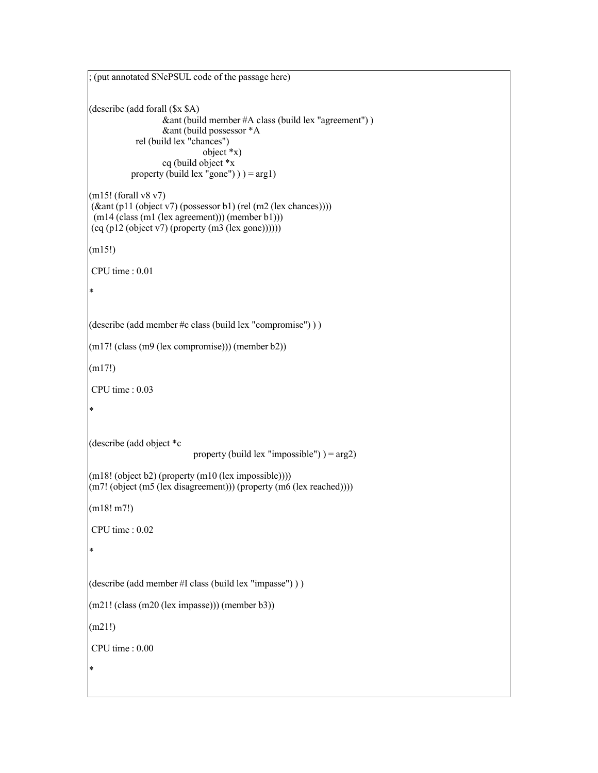```
; (put annotated SNePSUL code of the passage here)
(describe (add forall ($x $A)
                  &ant (build member #A class (build lex "agreement") )
                  &ant (build possessor *A
            rel (build lex "chances")
                             object *x)
                  cq (build object *x
           property (build lex "gone") ) = arg1)
(m15! (forall v8 v7)
(\&ant (p11 (object v7) (possessor b1) (rel (m2 (lex chances))))
 (m14 (class (m1 (lex agreement))) (member b1)))
(cq (p12 (object v7) (property (m3 (lex gone))))))(m15!)
CPU time : 0.01
*
(describe (add member #c class (build lex "compromise") ) )
(m17! (class (m9 (lex compromise))) (member b2))
(m17!)
CPU time : 0.03
*
(describe (add object *c
                          property (build lex "impossible") ) = arg2)
(m18! (object b2) (property (m10 (lex impossible))))(m7! (object (m5 (lex disagreement))) (property (m6 (lex reached))))
(m18! m7!)
CPU time : 0.02
*
(describe (add member #I class (build lex "impasse") ) )
(m21! (class (m20 (lex impasse))) (member b3))
(m21!)
CPU time : 0.00
*
```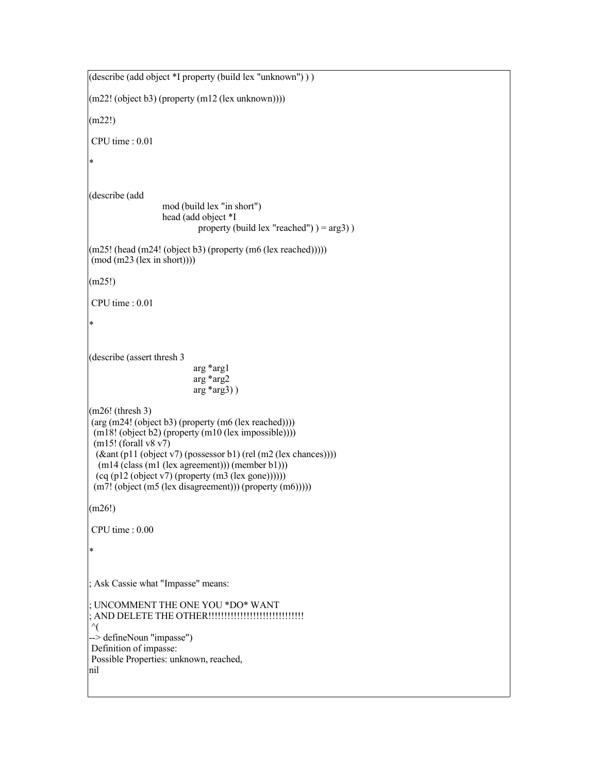(describe (add object \*I property (build lex "unknown") ) )  $(m22! (object b3) (property (m12 (lex unknown))))$ (m22!) CPU time : 0.01 \* (describe (add mod (build lex "in short") head (add object \*I property (build lex "reached")  $) = arg3$ )  $(m25!)$  (head  $(m24!)$  (object b3) (property  $(m6$  (lex reached)))))  $(mod (m23 (lex in short))))$ (m25!) CPU time : 0.01 \* (describe (assert thresh 3 arg \*arg1 arg \*arg2 arg \*arg3) ) (m26! (thresh 3)  $(\arg(m24! (object b3) (property (m6 (lex reached))))))$  $(m18! (object b2) (property (m10 (lex impossible))))$ (m15! (forall v8 v7) (&ant (p11 (object v7) (possessor b1) (rel (m2 (lex chances)))) (m14 (class (m1 (lex agreement))) (member b1)))  $(cq (p12 (object v7) (property (m3 (lex gone))))))$ (m7! (object (m5 (lex disagreement))) (property (m6))))) (m26!) CPU time : 0.00 \* ; Ask Cassie what "Impasse" means: ; UNCOMMENT THE ONE YOU \*DO\* WANT ; AND DELETE THE OTHER!!!!!!!!!!!!!!!!!!!!!!!!!!!!!! ^( --> defineNoun "impasse") Definition of impasse: Possible Properties: unknown, reached, nil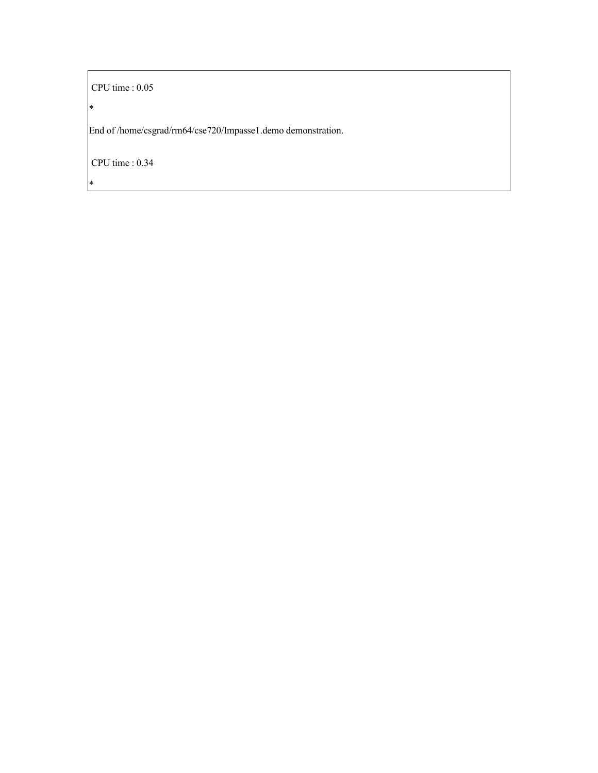CPU time : 0.05

\*

\*

End of /home/csgrad/rm64/cse720/Impasse1.demo demonstration.

CPU time : 0.34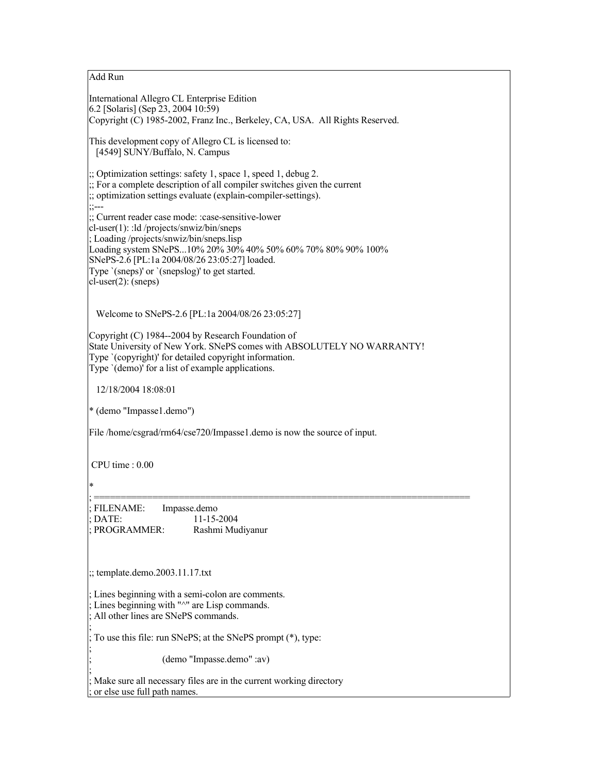Add Run

International Allegro CL Enterprise Edition 6.2 [Solaris] (Sep 23, 2004 10:59) Copyright (C) 1985-2002, Franz Inc., Berkeley, CA, USA. All Rights Reserved. This development copy of Allegro CL is licensed to: [4549] SUNY/Buffalo, N. Campus ;; Optimization settings: safety 1, space 1, speed 1, debug 2. ;; For a complete description of all compiler switches given the current ;; optimization settings evaluate (explain-compiler-settings).  $\cdot$ ---;; Current reader case mode: :case-sensitive-lower cl-user(1): :ld /projects/snwiz/bin/sneps ; Loading /projects/snwiz/bin/sneps.lisp Loading system SNePS...10% 20% 30% 40% 50% 60% 70% 80% 90% 100% SNePS-2.6 [PL:1a 2004/08/26 23:05:27] loaded. Type `(sneps)' or `(snepslog)' to get started. cl-user(2): (sneps) Welcome to SNePS-2.6 [PL:1a 2004/08/26 23:05:27] Copyright (C) 1984--2004 by Research Foundation of State University of New York. SNePS comes with ABSOLUTELY NO WARRANTY! Type `(copyright)' for detailed copyright information. Type `(demo)' for a list of example applications. 12/18/2004 18:08:01 \* (demo "Impasse1.demo") File /home/csgrad/rm64/cse720/Impasse1.demo is now the source of input. CPU time : 0.00 \* ; ======================================================================= FILENAME: Impasse.demo ; DATE: 11-15-2004 PROGRAMMER: Rashmi Mudiyanur ;; template.demo.2003.11.17.txt Lines beginning with a semi-colon are comments. Lines beginning with " $\wedge$ " are Lisp commands. All other lines are SNePS commands. ; ; To use this file: run SNePS; at the SNePS prompt (\*), type: ; ; (demo "Impasse.demo" :av) ;

Make sure all necessary files are in the current working directory ; or else use full path names.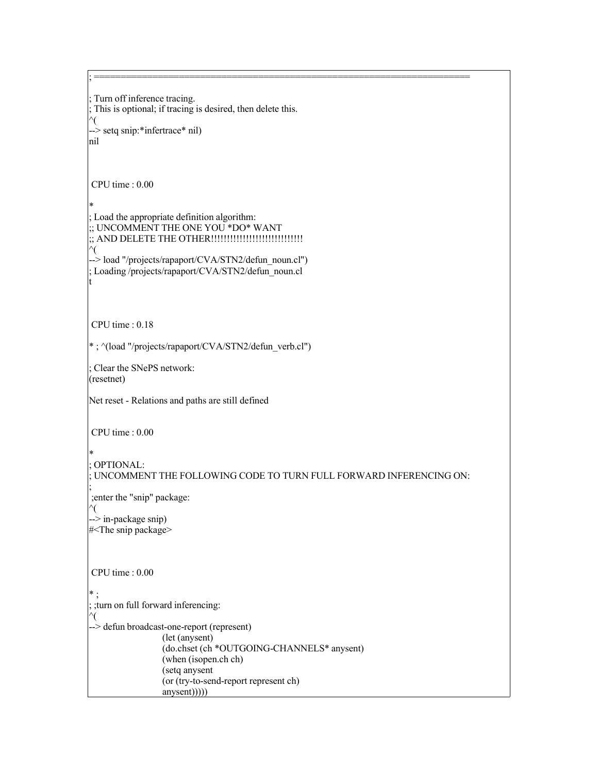Turn off inference tracing. This is optional; if tracing is desired, then delete this. ^( --> setq snip:\*infertrace\* nil) nil CPU time : 0.00 \* ; Load the appropriate definition algorithm: ;; UNCOMMENT THE ONE YOU \*DO\* WANT ;; AND DELETE THE OTHER!!!!!!!!!!!!!!!!!!!!!!!!!!!!! ^( --> load "/projects/rapaport/CVA/STN2/defun\_noun.cl") ; Loading /projects/rapaport/CVA/STN2/defun\_noun.cl t CPU time : 0.18 \* ; ^(load "/projects/rapaport/CVA/STN2/defun\_verb.cl") ; Clear the SNePS network: (resetnet) Net reset - Relations and paths are still defined CPU time : 0.00 \* ; OPTIONAL: ; UNCOMMENT THE FOLLOWING CODE TO TURN FULL FORWARD INFERENCING ON: ; ;enter the "snip" package: ^( -> in-package snip) #<The snip package> CPU time : 0.00 \* ; ; ;turn on full forward inferencing: ^( --> defun broadcast-one-report (represent) (let (anysent) (do.chset (ch \*OUTGOING-CHANNELS\* anysent) (when (isopen.ch ch) (setq anysent (or (try-to-send-report represent ch) anysent)))))

; =======================================================================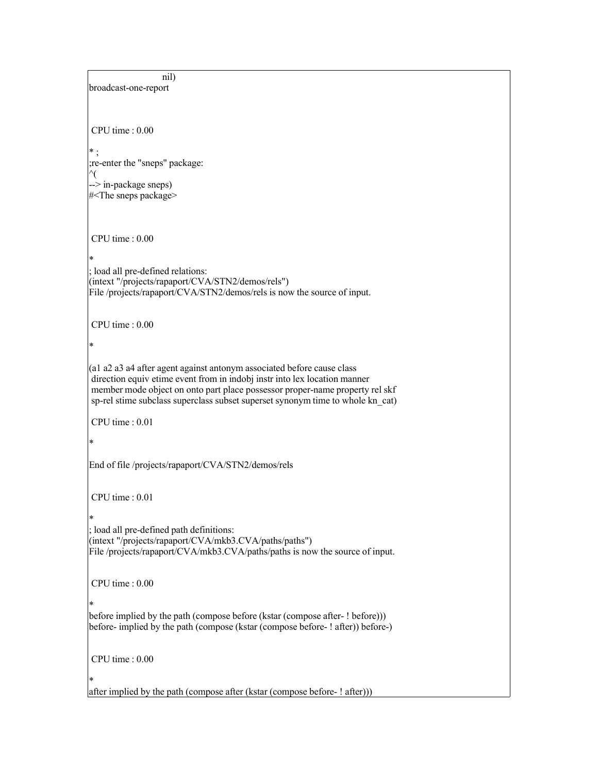```
nil)
broadcast-one-report
CPU time : 0.00
* ;
;re-enter the "sneps" package:
^(
--> in-package sneps)
#<The sneps package>
CPU time : 0.00
*
; load all pre-defined relations:
(intext "/projects/rapaport/CVA/STN2/demos/rels")
File /projects/rapaport/CVA/STN2/demos/rels is now the source of input.
CPU time : 0.00
*
(a1 a2 a3 a4 after agent against antonym associated before cause class
direction equiv etime event from in indobj instr into lex location manner
member mode object on onto part place possessor proper-name property rel skf
sp-rel stime subclass superclass subset superset synonym time to whole kn_cat)
CPU time : 0.01
*
End of file /projects/rapaport/CVA/STN2/demos/rels
CPU time : 0.01
*
; load all pre-defined path definitions:
(intext "/projects/rapaport/CVA/mkb3.CVA/paths/paths")
File /projects/rapaport/CVA/mkb3.CVA/paths/paths is now the source of input.
CPU time : 0.00
*
before implied by the path (compose before (kstar (compose after- ! before)))
before- implied by the path (compose (kstar (compose before- ! after)) before-)
CPU time : 0.00
*
after implied by the path (compose after (kstar (compose before- ! after)))
```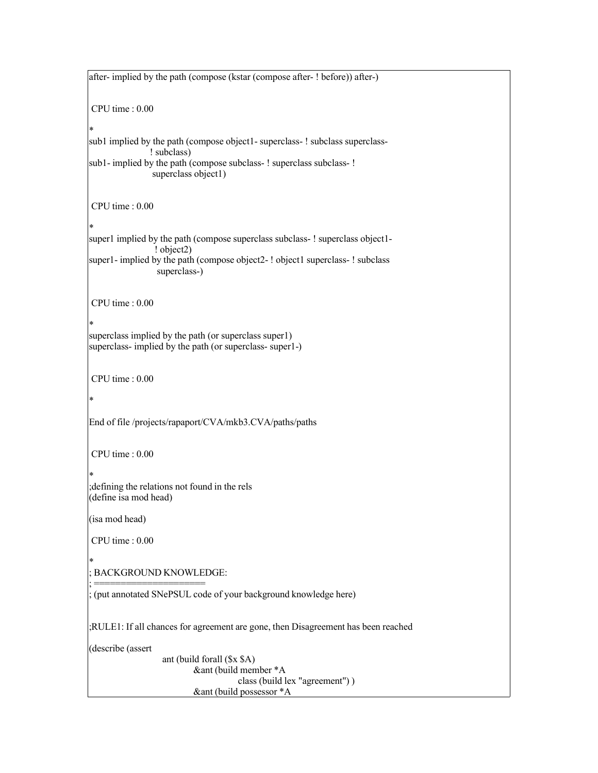after- implied by the path (compose (kstar (compose after- ! before)) after-) CPU time : 0.00 \* sub1 implied by the path (compose object1- superclass- ! subclass superclass-! subclass) sub1- implied by the path (compose subclass- ! superclass subclass- ! superclass object1) CPU time : 0.00 \* super1 implied by the path (compose superclass subclass-! superclass object1-! object2) super1- implied by the path (compose object2-! object1 superclass-! subclass superclass-) CPU time : 0.00 \* superclass implied by the path (or superclass super1) superclass- implied by the path (or superclass- super1-) CPU time : 0.00 \* End of file /projects/rapaport/CVA/mkb3.CVA/paths/paths CPU time : 0.00 \* ;defining the relations not found in the rels (define isa mod head) (isa mod head) CPU time : 0.00 \* ; BACKGROUND KNOWLEDGE: ; ===================== (put annotated SNePSUL code of your background knowledge here) ;RULE1: If all chances for agreement are gone, then Disagreement has been reached (describe (assert ant (build forall (\$x \$A) &ant (build member \*A class (build lex "agreement") ) &ant (build possessor \*A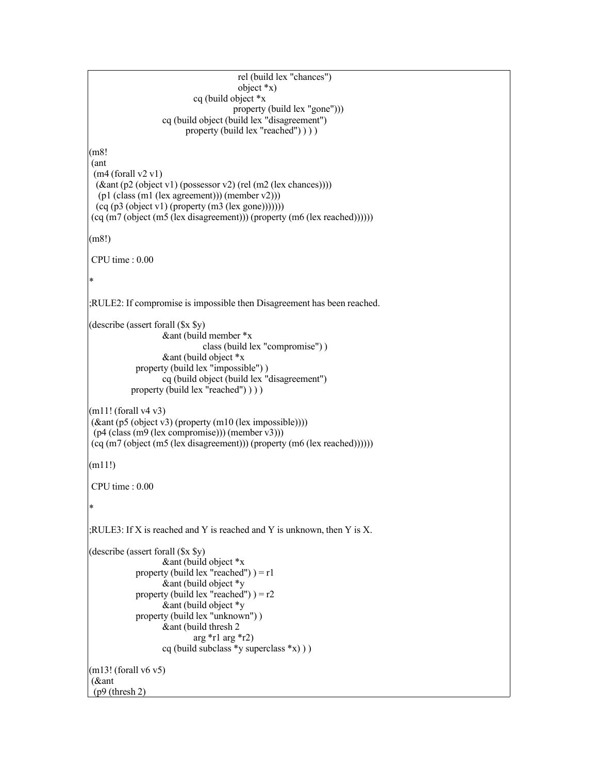```
rel (build lex "chances")
                                      object *x)
                           cq (build object *x
                                     property (build lex "gone")))
                  cq (build object (build lex "disagreement")
                        property (build lex "reached") ) ) )
(m8!
(ant
 (m4 (for all v2 v1))(&ant (p2 (object v1) (possessor v2) (rel (m2 (lex chances))))
  (p1 (class (m1 (lex agreement))) (member v2)))
 (cq (p3 (object v1) (property (m3 (lex gone)))))))(cq (m7 (object (m5 (lex disagreement))) (property (m6 (lex reached))))))
(m8!)
CPU time : 0.00
*
;RULE2: If compromise is impossible then Disagreement has been reached.
(describe (assert forall ($x $y)
                  &ant (build member *x
                             class (build lex "compromise") )
                  &ant (build object *x
            property (build lex "impossible") )
                  cq (build object (build lex "disagreement")
          property (build lex "reached") ))
(m11! (for all v4 v3))(kant (p5 (object v3) (property (m10 (lex impossible))))(p4 (class (m9 (lex compromise))) (member v3)))
(cq (m7 (object (m5 (lex disagreement))) (property (m6 (lex reached))))))
(m11!)
CPU time : 0.00
*
;RULE3: If X is reached and Y is reached and Y is unknown, then Y is X.
(describe (assert forall ($x $y)
                  &ant (build object xproperty (build lex "reached") = r1
                  &ant (build object *y
            property (build lex "reached") = r2&ant (build object *y
            property (build lex "unknown") )
                  &ant (build thresh 2
                           arg r1 arg r2)
                  cq (build subclass *y superclass *x) ) )
(m13! (for all v6 v5))(&ant
(p9 (thresh 2)
```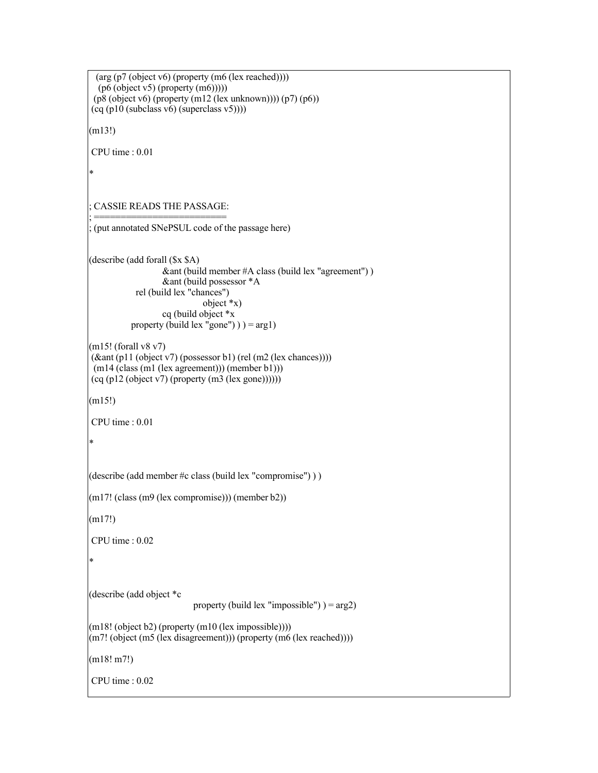(arg (p7 (object v6) (property (m6 (lex reached))))  $(p6 (object v5) (property (m6))))$ (p8 (object v6) (property (m12 (lex unknown)))) (p7) (p6))  $(cq (p10 (subclass v6) (superclass v5))))$ (m13!) CPU time : 0.01 \* ; CASSIE READS THE PASSAGE: ; ========================= (put annotated SNePSUL code of the passage here) (describe (add forall (\$x \$A) &ant (build member #A class (build lex "agreement") ) &ant (build possessor \*A rel (build lex "chances") object  $*_{x}$ ) cq (build object \*x property (build lex "gone")  $) = arg1$ ) (m15! (forall v8 v7)  $(\&$ ant (p11 (object v7) (possessor b1) (rel (m2 (lex chances)))) (m14 (class (m1 (lex agreement))) (member b1)))  $(cq (p12 (object v7) (property (m3 (lex gone))))))$ (m15!) CPU time : 0.01 \* (describe (add member #c class (build lex "compromise") ) ) (m17! (class (m9 (lex compromise))) (member b2)) (m17!) CPU time : 0.02 \* (describe (add object \*c property (build lex "impossible")  $) = arg2$ )  $(m18! (object b2) (property (m10 (lex impossible))))$ (m7! (object (m5 (lex disagreement))) (property (m6 (lex reached)))) (m18! m7!) CPU time : 0.02